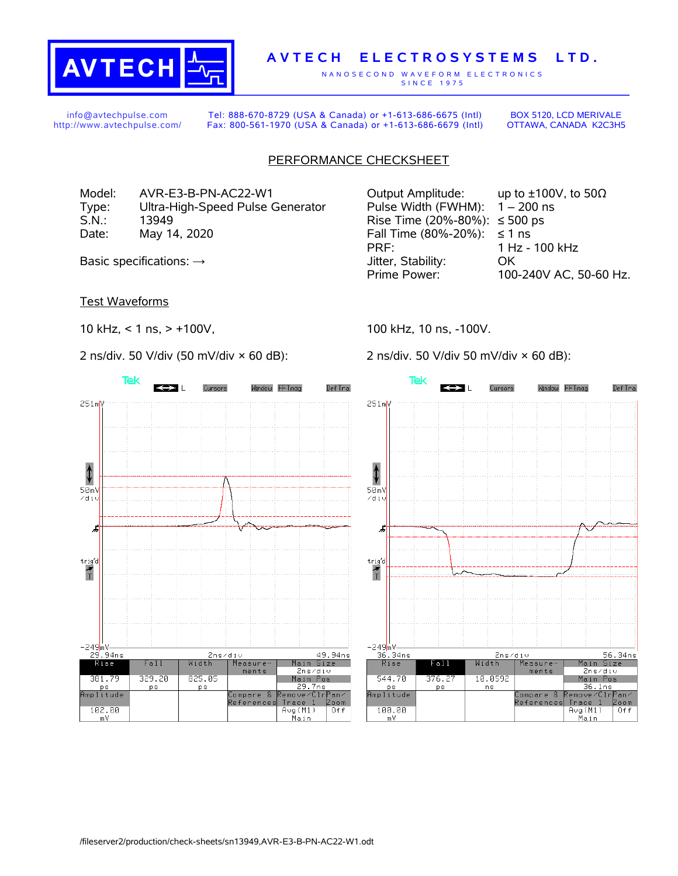

## **A V T E C H E L E C T R O S Y S T E M S L T D .**

N A N O S E C O N D W A V E F O R M E L E C T R O N I C S S IN C E 1975

info@avtechpulse.com http://www.avtechpulse.com/

Tel: 888-670-8729 (USA & Canada) or +1-613-686-6675 (Intl) Fax: 800-561-1970 (USA & Canada) or +1-613-686-6679 (Intl)

BOX 5120, LCD MERIVALE OTTAWA, CANADA K2C3H5

## PERFORMANCE CHECKSHEET

Model: AVR-E3-B-PN-AC22-W1 Output Amplitude: up to ±100V, to 50Ω Type: Ultra-High-Speed Pulse Generator Pulse Width (FWHM): 1 – 200 ns S.N.: 13949 Rise Time (20%-80%): ≤ 500 ps Date: May 14, 2020  $\blacksquare$  Fall Time (80%-20%): ≤ 1 ns

Test Waveforms

10 kHz, < 1 ns, > +100V,

2 ns/div. 50 V/div (50 mV/div × 60 dB):



PRF: 1 Hz - 100 kHz Basic specifications:  $\rightarrow$  Stability: OK Prime Power: 100-240V AC, 50-60 Hz.

100 kHz, 10 ns, -100V.

2 ns/div. 50 V/div 50 mV/div × 60 dB):

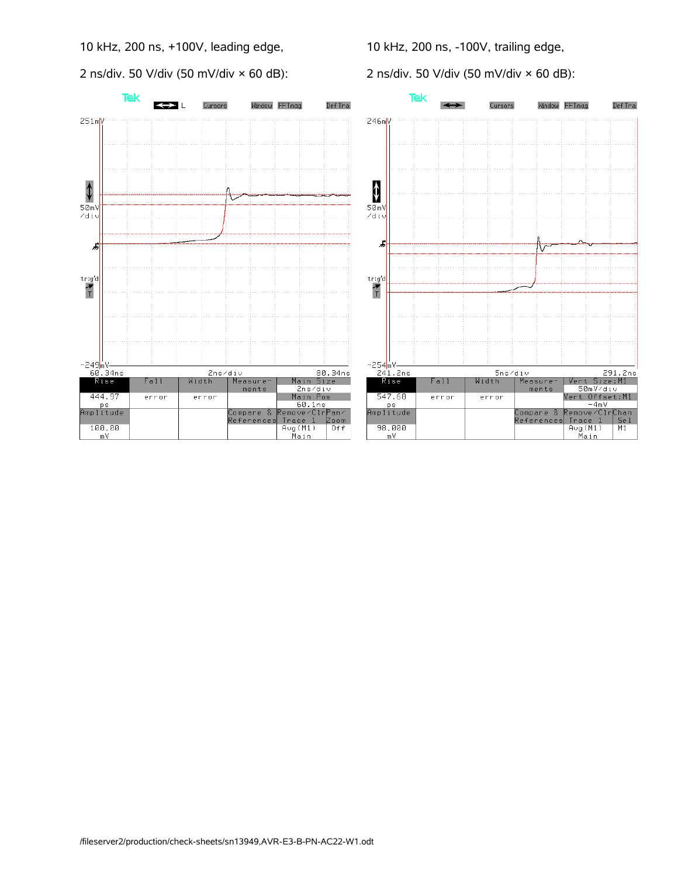10 kHz, 200 ns, +100V, leading edge,

2 ns/div. 50 V/div (50 mV/div × 60 dB):



10 kHz, 200 ns, -100V, trailing edge,

2 ns/div. 50 V/div (50 mV/div × 60 dB):